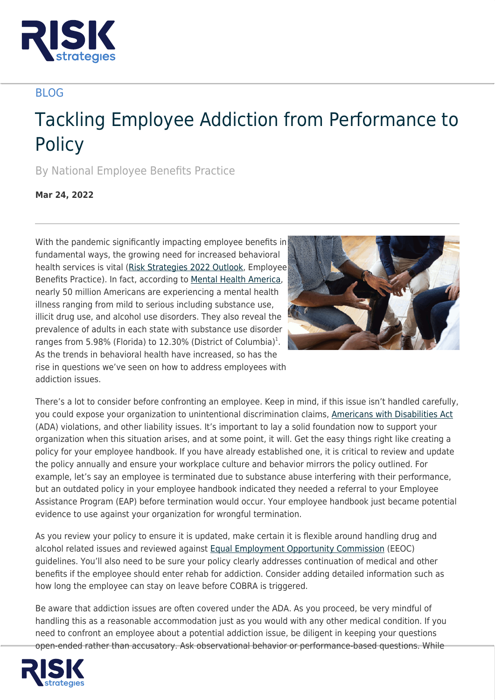

## BLOG

## Tackling Employee Addiction from Performance to **Policy**

By National Employee Benefits Practice

**Mar 24, 2022**

With the pandemic significantly impacting employee benefits in fundamental ways, the growing need for increased behavioral health services is vital ([Risk Strategies 2022 Outlook,](https://www.risk-strategies.com/state-of-the-market-2022-report/) Employee Benefits Practice). In fact, according to [Mental Health America,](https://mhanational.org/issues/2022/mental-health-america-adult-data#two) nearly 50 million Americans are experiencing a mental health illness ranging from mild to serious including substance use, illicit drug use, and alcohol use disorders. They also reveal the prevalence of adults in each state with substance use disorder ranges from 5.98% (Florida) to 12.30% (District of Columbia)<sup>1</sup>. As the trends in behavioral health have increased, so has the rise in questions we've seen on how to address employees with addiction issues.



There's a lot to consider before confronting an employee. Keep in mind, if this issue isn't handled carefully, you could expose your organization to unintentional discrimination claims, [Americans with Disabilities Act](https://www.ada.gov/) (ADA) violations, and other liability issues. It's important to lay a solid foundation now to support your organization when this situation arises, and at some point, it will. Get the easy things right like creating a policy for your employee handbook. If you have already established one, it is critical to review and update the policy annually and ensure your workplace culture and behavior mirrors the policy outlined. For example, let's say an employee is terminated due to substance abuse interfering with their performance, but an outdated policy in your employee handbook indicated they needed a referral to your Employee Assistance Program (EAP) before termination would occur. Your employee handbook just became potential evidence to use against your organization for wrongful termination.

As you review your policy to ensure it is updated, make certain it is flexible around handling drug and alcohol related issues and reviewed against [Equal Employment Opportunity Commission](https://www.eeoc.gov/) (EEOC) guidelines. You'll also need to be sure your policy clearly addresses continuation of medical and other benefits if the employee should enter rehab for addiction. Consider adding detailed information such as how long the employee can stay on leave before COBRA is triggered.

Be aware that addiction issues are often covered under the ADA. As you proceed, be very mindful of handling this as a reasonable accommodation just as you would with any other medical condition. If you need to confront an employee about a potential addiction issue, be diligent in keeping your questions open-ended rather than accusatory. Ask observational behavior or performance-based questions. While